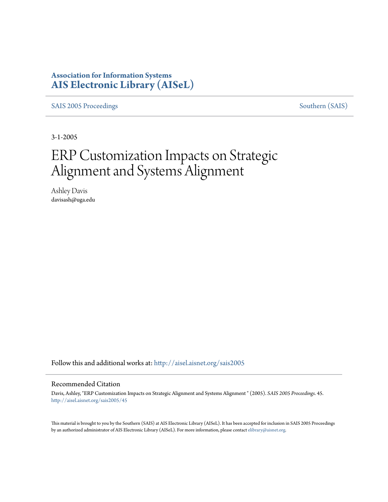# **Association for Information Systems [AIS Electronic Library \(AISeL\)](http://aisel.aisnet.org?utm_source=aisel.aisnet.org%2Fsais2005%2F45&utm_medium=PDF&utm_campaign=PDFCoverPages)**

[SAIS 2005 Proceedings](http://aisel.aisnet.org/sais2005?utm_source=aisel.aisnet.org%2Fsais2005%2F45&utm_medium=PDF&utm_campaign=PDFCoverPages) [Southern \(SAIS\)](http://aisel.aisnet.org/sais?utm_source=aisel.aisnet.org%2Fsais2005%2F45&utm_medium=PDF&utm_campaign=PDFCoverPages)

3-1-2005

# ERP Customization Impacts on Strategic Alignment and Systems Alignment

Ashley Davis davisash@uga.edu

Follow this and additional works at: [http://aisel.aisnet.org/sais2005](http://aisel.aisnet.org/sais2005?utm_source=aisel.aisnet.org%2Fsais2005%2F45&utm_medium=PDF&utm_campaign=PDFCoverPages)

#### Recommended Citation

Davis, Ashley, "ERP Customization Impacts on Strategic Alignment and Systems Alignment " (2005). *SAIS 2005 Proceedings*. 45. [http://aisel.aisnet.org/sais2005/45](http://aisel.aisnet.org/sais2005/45?utm_source=aisel.aisnet.org%2Fsais2005%2F45&utm_medium=PDF&utm_campaign=PDFCoverPages)

This material is brought to you by the Southern (SAIS) at AIS Electronic Library (AISeL). It has been accepted for inclusion in SAIS 2005 Proceedings by an authorized administrator of AIS Electronic Library (AISeL). For more information, please contact [elibrary@aisnet.org](mailto:elibrary@aisnet.org%3E).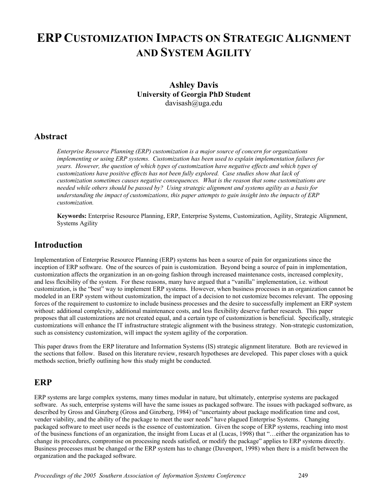# **ERP CUSTOMIZATION IMPACTS ON STRATEGIC ALIGNMENT AND SYSTEM AGILITY**

## **Ashley Davis University of Georgia PhD Student**  davisash@uga.edu

## **Abstract**

*Enterprise Resource Planning (ERP) customization is a major source of concern for organizations implementing or using ERP systems. Customization has been used to explain implementation failures for years. However, the question of which types of customization have negative effects and which types of customizations have positive effects has not been fully explored. Case studies show that lack of customization sometimes causes negative consequences. What is the reason that some customizations are needed while others should be passed by? Using strategic alignment and systems agility as a basis for understanding the impact of customizations, this paper attempts to gain insight into the impacts of ERP customization.* 

**Keywords:** Enterprise Resource Planning, ERP, Enterprise Systems, Customization, Agility, Strategic Alignment, Systems Agility

## **Introduction**

Implementation of Enterprise Resource Planning (ERP) systems has been a source of pain for organizations since the inception of ERP software. One of the sources of pain is customization. Beyond being a source of pain in implementation, customization affects the organization in an on-going fashion through increased maintenance costs, increased complexity, and less flexibility of the system. For these reasons, many have argued that a "vanilla" implementation, i.e. without customization, is the "best" way to implement ERP systems. However, when business processes in an organization cannot be modeled in an ERP system without customization, the impact of a decision to not customize becomes relevant. The opposing forces of the requirement to customize to include business processes and the desire to successfully implement an ERP system without: additional complexity, additional maintenance costs, and less flexibility deserve further research. This paper proposes that all customizations are not created equal, and a certain type of customization is beneficial. Specifically, strategic customizations will enhance the IT infrastructure strategic alignment with the business strategy. Non-strategic customization, such as consistency customization, will impact the system agility of the corporation.

This paper draws from the ERP literature and Information Systems (IS) strategic alignment literature. Both are reviewed in the sections that follow. Based on this literature review, research hypotheses are developed. This paper closes with a quick methods section, briefly outlining how this study might be conducted.

## **ERP**

ERP systems are large complex systems, many times modular in nature, but ultimately, enterprise systems are packaged software. As such, enterprise systems will have the same issues as packaged software. The issues with packaged software, as described by Gross and Ginzberg (Gross and Ginzberg, 1984) of "uncertainty about package modification time and cost, vender viability, and the ability of the package to meet the user needs" have plagued Enterprise Systems. Changing packaged software to meet user needs is the essence of customization. Given the scope of ERP systems, reaching into most of the business functions of an organization, the insight from Lucas et al (Lucas, 1998) that "…either the organization has to change its procedures, compromise on processing needs satisfied, or modify the package" applies to ERP systems directly. Business processes must be changed or the ERP system has to change (Davenport, 1998) when there is a misfit between the organization and the packaged software.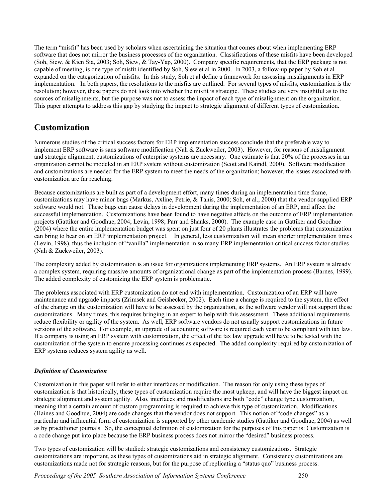The term "misfit" has been used by scholars when ascertaining the situation that comes about when implementing ERP software that does not mirror the business processes of the organization. Classifications of these misfits have been developed (Soh, Siew, & Kien Sia, 2003; Soh, Siew, & Tay-Yap, 2000). Company specific requirements, that the ERP package is not capable of meeting, is one type of misfit identified by Soh, Siew et al in 2000. In 2003, a follow-up paper by Soh et al expanded on the categorization of misfits. In this study, Soh et al define a framework for assessing misalignments in ERP implementation. In both papers, the resolutions to the misfits are outlined. For several types of misfits, customization is the resolution; however, these papers do not look into whether the misfit is strategic. These studies are very insightful as to the sources of misalignments, but the purpose was not to assess the impact of each type of misalignment on the organization. This paper attempts to address this gap by studying the impact to strategic alignment of different types of customization.

## **Customization**

Numerous studies of the critical success factors for ERP implementation success conclude that the preferable way to implement ERP software is sans software modification (Nah & Zuckweiler, 2003). However, for reasons of misalignment and strategic alignment, customizations of enterprise systems are necessary. One estimate is that 20% of the processes in an organization cannot be modeled in an ERP system without customization (Scott and Kaindl, 2000). Software modification and customizations are needed for the ERP system to meet the needs of the organization; however, the issues associated with customization are far reaching.

Because customizations are built as part of a development effort, many times during an implementation time frame, customizations may have minor bugs (Markus, Axline, Petrie, & Tanis, 2000; Soh, et al., 2000) that the vendor supplied ERP software would not. These bugs can cause delays in development during the implementation of an ERP, and affect the successful implementation. Customizations have been found to have negative affects on the outcome of ERP implementation projects (Gattiker and Goodhue, 2004; Levin, 1998; Parr and Shanks, 2000). The example case in Gattiker and Goodhue (2004) where the entire implementation budget was spent on just four of 20 plants illustrates the problems that customization can bring to bear on an ERP implementation project. In general, less customization will mean shorter implementation times (Levin, 1998), thus the inclusion of "vanilla" implementation in so many ERP implementation critical success factor studies (Nah & Zuckweiler, 2003).

The complexity added by customization is an issue for organizations implementing ERP systems. An ERP system is already a complex system, requiring massive amounts of organizational change as part of the implementation process (Barnes, 1999). The added complexity of customizing the ERP system is problematic.

The problems associated with ERP customization do not end with implementation. Customization of an ERP will have maintenance and upgrade impacts (Zrimsek and Geishecker, 2002). Each time a change is required to the system, the effect of the change on the customization will have to be assessed by the organization, as the software vendor will not support these customizations. Many times, this requires bringing in an expert to help with this assessment. These additional requirements reduce flexibility or agility of the system. As well, ERP software vendors do not usually support customizations in future versions of the software. For example, an upgrade of accounting software is required each year to be compliant with tax law. If a company is using an ERP system with customization, the effect of the tax law upgrade will have to be tested with the customization of the system to ensure processing continues as expected. The added complexity required by customization of ERP systems reduces system agility as well.

#### *Definition of Customization*

Customization in this paper will refer to either interfaces or modification. The reason for only using these types of customization is that historically, these types of customization require the most upkeep, and will have the biggest impact on strategic alignment and system agility. Also, interfaces and modifications are both "code" change type customization, meaning that a certain amount of custom programming is required to achieve this type of customization. Modifications (Haines and Goodhue, 2004) are code changes that the vendor does not support. This notion of "code changes" as a particular and influential form of customization is supported by other academic studies (Gattiker and Goodhue, 2004) as well as by practitioner journals. So, the conceptual definition of customization for the purposes of this paper is: Customization is a code change put into place because the ERP business process does not mirror the "desired" business process.

Two types of customization will be studied: strategic customizations and consistency customizations. Strategic customizations are important, as these types of customizations aid in strategic alignment. Consistency customizations are customizations made not for strategic reasons, but for the purpose of replicating a "status quo" business process.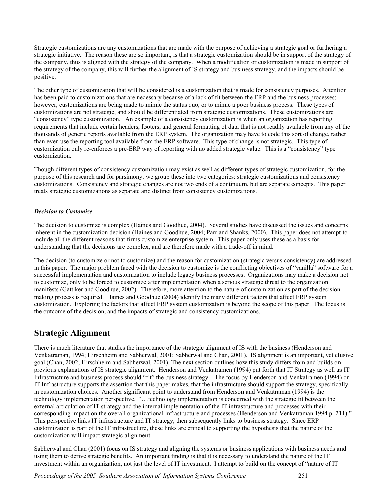Strategic customizations are any customizations that are made with the purpose of achieving a strategic goal or furthering a strategic initiative. The reason these are so important, is that a strategic customization should be in support of the strategy of the company, thus is aligned with the strategy of the company. When a modification or customization is made in support of the strategy of the company, this will further the alignment of IS strategy and business strategy, and the impacts should be positive.

The other type of customization that will be considered is a customization that is made for consistency purposes. Attention has been paid to customizations that are necessary because of a lack of fit between the ERP and the business processes; however, customizations are being made to mimic the status quo, or to mimic a poor business process. These types of customizations are not strategic, and should be differentiated from strategic customizations. These customizations are "consistency" type customization. An example of a consistency customization is when an organization has reporting requirements that include certain headers, footers, and general formatting of data that is not readily available from any of the thousands of generic reports available from the ERP system. The organization may have to code this sort of change, rather than even use the reporting tool available from the ERP software. This type of change is not strategic. This type of customization only re-enforces a pre-ERP way of reporting with no added strategic value. This is a "consistency" type customization.

Though different types of consistency customization may exist as well as different types of strategic customization, for the purpose of this research and for parsimony, we group these into two categories: strategic customizations and consistency customizations. Consistency and strategic changes are not two ends of a continuum, but are separate concepts. This paper treats strategic customizations as separate and distinct from consistency customizations.

#### *Decision to Customize*

The decision to customize is complex (Haines and Goodhue, 2004). Several studies have discussed the issues and concerns inherent in the customization decision (Haines and Goodhue, 2004; Parr and Shanks, 2000). This paper does not attempt to include all the different reasons that firms customize enterprise system. This paper only uses these as a basis for understanding that the decisions are complex, and are therefore made with a trade-off in mind.

The decision (to customize or not to customize) and the reason for customization (strategic versus consistency) are addressed in this paper. The major problem faced with the decision to customize is the conflicting objectives of "vanilla" software for a successful implementation and customization to include legacy business processes. Organizations may make a decision not to customize, only to be forced to customize after implementation when a serious strategic threat to the organization manifests (Gattiker and Goodhue, 2002). Therefore, more attention to the nature of customization as part of the decision making process is required. Haines and Goodhue (2004) identify the many different factors that affect ERP system customization. Exploring the factors that affect ERP system customization is beyond the scope of this paper. The focus is the outcome of the decision, and the impacts of strategic and consistency customizations.

## **Strategic Alignment**

There is much literature that studies the importance of the strategic alignment of IS with the business (Henderson and Venkatraman, 1994; Hirschheim and Sabherwal, 2001; Sabherwal and Chan, 2001). IS alignment is an important, yet elusive goal (Chan, 2002; Hirschheim and Sabherwal, 2001). The next section outlines how this study differs from and builds on previous explanations of IS strategic alignment. Henderson and Venkatramen (1994) put forth that IT Strategy as well as IT Infrastructure and business process should "fit" the business strategy. The focus by Henderson and Venkatramen (1994) on IT Infrastructure supports the assertion that this paper makes, that the infrastructure should support the strategy, specifically in customization choices. Another significant point to understand from Henderson and Venkatraman (1994) is the technology implementation perspective. "…technology implementation is concerned with the strategic fit between the external articulation of IT strategy and the internal implementation of the IT infrastructure and processes with their corresponding impact on the overall organizational infrastructure and processes (Henderson and Venkatraman 1994 p. 211)." This perspective links IT infrastructure and IT strategy, then subsequently links to business strategy. Since ERP customization is part of the IT infrastructure, these links are critical to supporting the hypothesis that the nature of the customization will impact strategic alignment.

Sabherwal and Chan (2001) focus on IS strategy and aligning the systems or business applications with business needs and using them to derive strategic benefits. An important finding is that it is necessary to understand the nature of the IT investment within an organization, not just the level of IT investment. I attempt to build on the concept of "nature of IT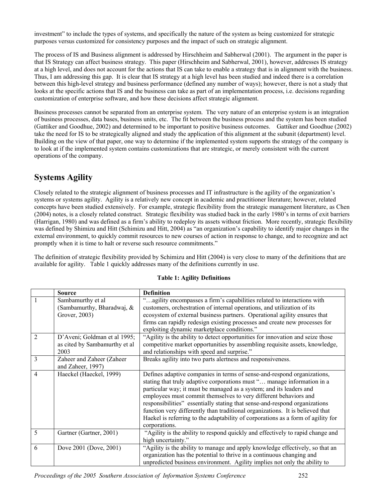investment" to include the types of systems, and specifically the nature of the system as being customized for strategic purposes versus customized for consistency purposes and the impact of such on strategic alignment.

The process of IS and Business alignment is addressed by Hirschheim and Sabherwal (2001). The argument in the paper is that IS Strategy can affect business strategy. This paper (Hirschheim and Sabherwal, 2001), however, addresses IS strategy at a high level, and does not account for the actions that IS can take to enable a strategy that is in alignment with the business. Thus, I am addressing this gap. It is clear that IS strategy at a high level has been studied and indeed there is a correlation between this high-level strategy and business performance (defined any number of ways); however, there is not a study that looks at the specific actions that IS and the business can take as part of an implementation process, i.e. decisions regarding customization of enterprise software, and how these decisions affect strategic alignment.

Business processes cannot be separated from an enterprise system. The very nature of an enterprise system is an integration of business processes, data bases, business units, etc. The fit between the business process and the system has been studied (Gattiker and Goodhue, 2002) and determined to be important to positive business outcomes. Gattiker and Goodhue (2002) take the need for IS to be strategically aligned and study the application of this alignment at the subunit (department) level. Building on the view of that paper, one way to determine if the implemented system supports the strategy of the company is to look at if the implemented system contains customizations that are strategic, or merely consistent with the current operations of the company.

# **Systems Agility**

Closely related to the strategic alignment of business processes and IT infrastructure is the agility of the organization's systems or systems agility. Agility is a relatively new concept in academic and practitioner literature; however, related concepts have been studied extensively. For example, strategic flexibility from the strategic management literature, as Chen (2004) notes, is a closely related construct. Strategic flexibility was studied back in the early 1980's in terms of exit barriers (Harrigan, 1980) and was defined as a firm's ability to redeploy its assets without friction. More recently, strategic flexibility was defined by Shimizu and Hitt (Schimizu and Hitt, 2004) as "an organization's capability to identify major changes in the external environment, to quickly commit resources to new courses of action in response to change, and to recognize and act promptly when it is time to halt or reverse such resource commitments."

The definition of strategic flexibility provided by Schimizu and Hitt (2004) is very close to many of the definitions that are available for agility. Table 1 quickly addresses many of the definitions currently in use.

|                | <b>Source</b>                                                         | <b>Definition</b>                                                                                                                                                                                                                                                                                                                                                                                                                                                                                                                                                 |
|----------------|-----------------------------------------------------------------------|-------------------------------------------------------------------------------------------------------------------------------------------------------------------------------------------------------------------------------------------------------------------------------------------------------------------------------------------------------------------------------------------------------------------------------------------------------------------------------------------------------------------------------------------------------------------|
|                | Sambamurthy et al<br>(Sambamurthy, Bharadwaj, &<br>Grover, 2003)      | "agility encompasses a firm's capabilities related to interactions with<br>customers, orchestration of internal operations, and utilization of its<br>ecosystem of external business partners. Operational agility ensures that<br>firms can rapidly redesign existing processes and create new processes for<br>exploiting dynamic marketplace conditions."                                                                                                                                                                                                      |
| $\overline{2}$ | D'Aveni; Goldman et al 1995;<br>as cited by Sambamurthy et al<br>2003 | "Agility is the ability to detect opportunities for innovation and seize those<br>competitive market opportunities by assembling requisite assets, knowledge,<br>and relationships with speed and surprise."                                                                                                                                                                                                                                                                                                                                                      |
| 3              | Zaheer and Zaheer (Zaheer<br>and Zaheer, 1997)                        | Breaks agility into two parts alertness and responsiveness.                                                                                                                                                                                                                                                                                                                                                                                                                                                                                                       |
| $\overline{4}$ | Haeckel (Haeckel, 1999)                                               | Defines adaptive companies in terms of sense-and-respond organizations,<br>stating that truly adaptive corporations must " manage information in a<br>particular way; it must be managed as a system; and its leaders and<br>employees must commit themselves to very different behaviors and<br>responsibilities" essentially stating that sense-and-respond organizations<br>function very differently than traditional organizations. It is believed that<br>Haekel is referring to the adaptability of corporations as a form of agility for<br>corporations. |
| 5              | Gartner (Gartner, 2001)                                               | "Agility is the ability to respond quickly and effectively to rapid change and<br>high uncertainty."                                                                                                                                                                                                                                                                                                                                                                                                                                                              |
| 6              | Dove 2001 (Dove, 2001)                                                | "Agility is the ability to manage and apply knowledge effectively, so that an<br>organization has the potential to thrive in a continuous changing and<br>unpredicted business environment. Agility implies not only the ability to                                                                                                                                                                                                                                                                                                                               |

#### **Table 1: Agility Definitions**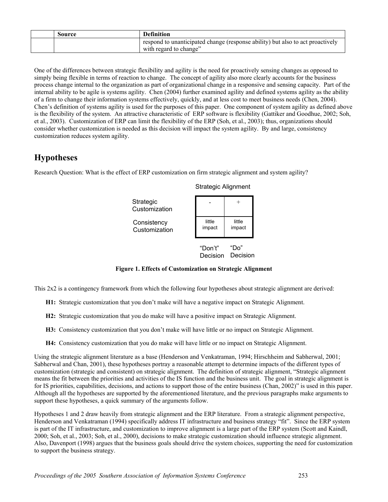| Source | <b>Definition</b>                                                                                        |
|--------|----------------------------------------------------------------------------------------------------------|
|        | respond to unanticipated change (response ability) but also to act proactively<br>with regard to change" |

One of the differences between strategic flexibility and agility is the need for proactively sensing changes as opposed to simply being flexible in terms of reaction to change. The concept of agility also more clearly accounts for the business process change internal to the organization as part of organizational change in a responsive and sensing capacity. Part of the internal ability to be agile is systems agility. Chen (2004) further examined agility and defined systems agility as the ability of a firm to change their information systems effectively, quickly, and at less cost to meet business needs (Chen, 2004). Chen's definition of systems agility is used for the purposes of this paper. One component of system agility as defined above is the flexibility of the system. An attractive characteristic of ERP software is flexibility (Gattiker and Goodhue, 2002; Soh, et al., 2003). Customization of ERP can limit the flexibility of the ERP (Soh, et al., 2003); thus, organizations should consider whether customization is needed as this decision will impact the system agility. By and large, consistency customization reduces system agility.

# **Hypotheses**

Research Question: What is the effect of ERP customization on firm strategic alignment and system agility?



#### Strategic Alignment

"Do" Decision Decision "Don't"

little impact

**Figure 1. Effects of Customization on Strategic Alignment** 

This 2x2 is a contingency framework from which the following four hypotheses about strategic alignment are derived:

- **H1:** Strategic customization that you don't make will have a negative impact on Strategic Alignment.
- **H2:** Strategic customization that you do make will have a positive impact on Strategic Alignment.
- **H3:** Consistency customization that you don't make will have little or no impact on Strategic Alignment.
- **H4:** Consistency customization that you do make will have little or no impact on Strategic Alignment.

Using the strategic alignment literature as a base (Henderson and Venkatraman, 1994; Hirschheim and Sabherwal, 2001; Sabherwal and Chan, 2001), these hypotheses portray a reasonable attempt to determine impacts of the different types of customization (strategic and consistent) on strategic alignment. The definition of strategic alignment, "Strategic alignment means the fit between the priorities and activities of the IS function and the business unit. The goal in strategic alignment is for IS priorities, capabilities, decisions, and actions to support those of the entire business (Chan, 2002)" is used in this paper. Although all the hypotheses are supported by the aforementioned literature, and the previous paragraphs make arguments to support these hypotheses, a quick summary of the arguments follow.

Hypotheses 1 and 2 draw heavily from strategic alignment and the ERP literature. From a strategic alignment perspective, Henderson and Venkatraman (1994) specifically address IT infrastructure and business strategy "fit". Since the ERP system is part of the IT infrastructure, and customization to improve alignment is a large part of the ERP system (Scott and Kaindl, 2000; Soh, et al., 2003; Soh, et al., 2000), decisions to make strategic customization should influence strategic alignment. Also, Davenport (1998) argues that the business goals should drive the system choices, supporting the need for customization to support the business strategy.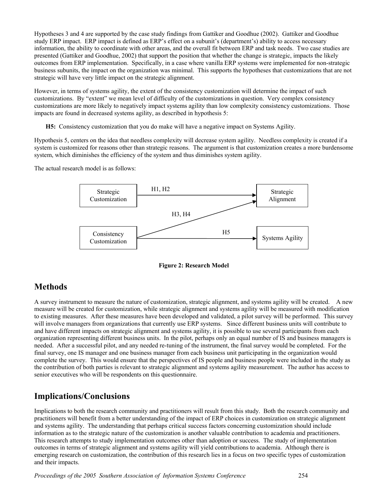Hypotheses 3 and 4 are supported by the case study findings from Gattiker and Goodhue (2002). Gattiker and Goodhue study ERP impact. ERP impact is defined as ERP's effect on a subunit's (department's) ability to access necessary information, the ability to coordinate with other areas, and the overall fit between ERP and task needs. Two case studies are presented (Gattiker and Goodhue, 2002) that support the position that whether the change is strategic, impacts the likely outcomes from ERP implementation. Specifically, in a case where vanilla ERP systems were implemented for non-strategic business subunits, the impact on the organization was minimal. This supports the hypotheses that customizations that are not strategic will have very little impact on the strategic alignment.

However, in terms of systems agility, the extent of the consistency customization will determine the impact of such customizations. By "extent" we mean level of difficulty of the customizations in question. Very complex consistency customizations are more likely to negatively impact systems agility than low complexity consistency customizations. Those impacts are found in decreased systems agility, as described in hypothesis 5:

**H5:** Consistency customization that you do make will have a negative impact on Systems Agility.

Hypothesis 5, centers on the idea that needless complexity will decrease system agility. Needless complexity is created if a system is customized for reasons other than strategic reasons. The argument is that customization creates a more burdensome system, which diminishes the efficiency of the system and thus diminishes system agility.

The actual research model is as follows:



**Figure 2: Research Model** 

# **Methods**

A survey instrument to measure the nature of customization, strategic alignment, and systems agility will be created. A new measure will be created for customization, while strategic alignment and systems agility will be measured with modification to existing measures. After these measures have been developed and validated, a pilot survey will be performed. This survey will involve managers from organizations that currently use ERP systems. Since different business units will contribute to and have different impacts on strategic alignment and systems agility, it is possible to use several participants from each organization representing different business units. In the pilot, perhaps only an equal number of IS and business managers is needed. After a successful pilot, and any needed re-tuning of the instrument, the final survey would be completed. For the final survey, one IS manager and one business manager from each business unit participating in the organization would complete the survey. This would ensure that the perspectives of IS people and business people were included in the study as the contribution of both parties is relevant to strategic alignment and systems agility measurement. The author has access to senior executives who will be respondents on this questionnaire.

# **Implications/Conclusions**

Implications to both the research community and practitioners will result from this study. Both the research community and practitioners will benefit from a better understanding of the impact of ERP choices in customization on strategic alignment and systems agility. The understanding that perhaps critical success factors concerning customization should include information as to the strategic nature of the customization is another valuable contribution to academia and practitioners. This research attempts to study implementation outcomes other than adoption or success. The study of implementation outcomes in terms of strategic alignment and systems agility will yield contributions to academia. Although there is emerging research on customization, the contribution of this research lies in a focus on two specific types of customization and their impacts.